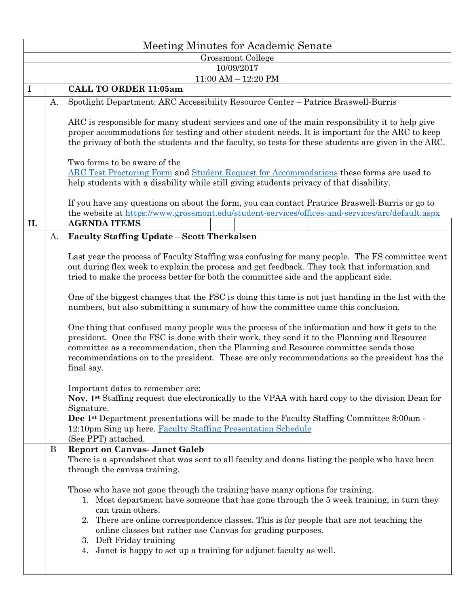|     | Meeting Minutes for Academic Senate |                                                                                                                                                                                                                                                                                                                                                                                                                                                          |  |  |  |  |  |  |  |  |  |  |
|-----|-------------------------------------|----------------------------------------------------------------------------------------------------------------------------------------------------------------------------------------------------------------------------------------------------------------------------------------------------------------------------------------------------------------------------------------------------------------------------------------------------------|--|--|--|--|--|--|--|--|--|--|
|     | Grossmont College                   |                                                                                                                                                                                                                                                                                                                                                                                                                                                          |  |  |  |  |  |  |  |  |  |  |
|     | 10/09/2017                          |                                                                                                                                                                                                                                                                                                                                                                                                                                                          |  |  |  |  |  |  |  |  |  |  |
|     | $11:00$ AM $- 12:20$ PM             |                                                                                                                                                                                                                                                                                                                                                                                                                                                          |  |  |  |  |  |  |  |  |  |  |
| I   |                                     | <b>CALL TO ORDER 11:05am</b>                                                                                                                                                                                                                                                                                                                                                                                                                             |  |  |  |  |  |  |  |  |  |  |
|     | A.                                  | Spotlight Department: ARC Accessibility Resource Center - Patrice Braswell-Burris                                                                                                                                                                                                                                                                                                                                                                        |  |  |  |  |  |  |  |  |  |  |
|     |                                     | ARC is responsible for many student services and one of the main responsibility it to help give<br>proper accommodations for testing and other student needs. It is important for the ARC to keep<br>the privacy of both the students and the faculty, so tests for these students are given in the ARC.                                                                                                                                                 |  |  |  |  |  |  |  |  |  |  |
|     |                                     | Two forms to be aware of the<br><b>ARC Test Proctoring Form and Student Request for Accommodations these forms are used to</b><br>help students with a disability while still giving students privacy of that disability.                                                                                                                                                                                                                                |  |  |  |  |  |  |  |  |  |  |
|     |                                     | If you have any questions on about the form, you can contact Pratrice Braswell-Burris or go to                                                                                                                                                                                                                                                                                                                                                           |  |  |  |  |  |  |  |  |  |  |
|     |                                     | the website at https://www.grossmont.edu/student-services/offices-and-services/arc/default.aspx                                                                                                                                                                                                                                                                                                                                                          |  |  |  |  |  |  |  |  |  |  |
| II. |                                     | <b>AGENDA ITEMS</b>                                                                                                                                                                                                                                                                                                                                                                                                                                      |  |  |  |  |  |  |  |  |  |  |
|     | A.                                  | Faculty Staffing Update - Scott Therkalsen                                                                                                                                                                                                                                                                                                                                                                                                               |  |  |  |  |  |  |  |  |  |  |
|     |                                     | Last year the process of Faculty Staffing was confusing for many people. The FS committee went<br>out during flex week to explain the process and get feedback. They took that information and<br>tried to make the process better for both the committee side and the applicant side.                                                                                                                                                                   |  |  |  |  |  |  |  |  |  |  |
|     |                                     | One of the biggest changes that the FSC is doing this time is not just handing in the list with the<br>numbers, but also submitting a summary of how the committee came this conclusion.                                                                                                                                                                                                                                                                 |  |  |  |  |  |  |  |  |  |  |
|     |                                     | One thing that confused many people was the process of the information and how it gets to the<br>president. Once the FSC is done with their work, they send it to the Planning and Resource<br>committee as a recommendation, then the Planning and Resource committee sends those<br>recommendations on to the president. These are only recommendations so the president has the<br>final say.                                                         |  |  |  |  |  |  |  |  |  |  |
|     |                                     | Important dates to remember are:<br>Nov. 1 <sup>st</sup> Staffing request due electronically to the VPAA with hard copy to the division Dean for<br>Signature.<br>Dec 1 <sup>st</sup> Department presentations will be made to the Faculty Staffing Committee 8:00am -<br>12:10pm Sing up here. Faculty Staffing Presentation Schedule<br>(See PPT) attached.                                                                                            |  |  |  |  |  |  |  |  |  |  |
|     | B                                   | <b>Report on Canvas- Janet Galeb</b><br>There is a spreadsheet that was sent to all faculty and deans listing the people who have been<br>through the canvas training.                                                                                                                                                                                                                                                                                   |  |  |  |  |  |  |  |  |  |  |
|     |                                     | Those who have not gone through the training have many options for training.<br>1. Most department have someone that has gone through the 5 week training, in turn they<br>can train others.<br>2. There are online correspondence classes. This is for people that are not teaching the<br>online classes but rather use Canvas for grading purposes.<br>3. Deft Friday training<br>4. Janet is happy to set up a training for adjunct faculty as well. |  |  |  |  |  |  |  |  |  |  |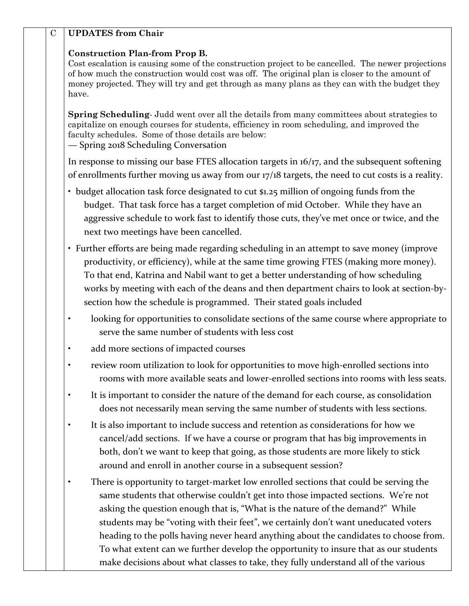| $\mathbf C$ | <b>UPDATES</b> from Chair                                                                                                                                                                                                                                                                                                                                                                                                                                                                                                                                                                                                               |  |  |  |  |  |
|-------------|-----------------------------------------------------------------------------------------------------------------------------------------------------------------------------------------------------------------------------------------------------------------------------------------------------------------------------------------------------------------------------------------------------------------------------------------------------------------------------------------------------------------------------------------------------------------------------------------------------------------------------------------|--|--|--|--|--|
|             | <b>Construction Plan-from Prop B.</b><br>Cost escalation is causing some of the construction project to be cancelled. The newer projections<br>of how much the construction would cost was off. The original plan is closer to the amount of<br>money projected. They will try and get through as many plans as they can with the budget they<br>have.                                                                                                                                                                                                                                                                                  |  |  |  |  |  |
|             | Spring Scheduling-Judd went over all the details from many committees about strategies to<br>capitalize on enough courses for students, efficiency in room scheduling, and improved the<br>faculty schedules. Some of those details are below:<br>- Spring 2018 Scheduling Conversation                                                                                                                                                                                                                                                                                                                                                 |  |  |  |  |  |
|             | In response to missing our base FTES allocation targets in 16/17, and the subsequent softening                                                                                                                                                                                                                                                                                                                                                                                                                                                                                                                                          |  |  |  |  |  |
|             | of enrollments further moving us away from our 17/18 targets, the need to cut costs is a reality.                                                                                                                                                                                                                                                                                                                                                                                                                                                                                                                                       |  |  |  |  |  |
|             | • budget allocation task force designated to cut \$1.25 million of ongoing funds from the<br>budget. That task force has a target completion of mid October. While they have an<br>aggressive schedule to work fast to identify those cuts, they've met once or twice, and the<br>next two meetings have been cancelled.                                                                                                                                                                                                                                                                                                                |  |  |  |  |  |
|             | • Further efforts are being made regarding scheduling in an attempt to save money (improve<br>productivity, or efficiency), while at the same time growing FTES (making more money).<br>To that end, Katrina and Nabil want to get a better understanding of how scheduling<br>works by meeting with each of the deans and then department chairs to look at section-by-<br>section how the schedule is programmed. Their stated goals included                                                                                                                                                                                         |  |  |  |  |  |
|             | looking for opportunities to consolidate sections of the same course where appropriate to<br>$\bullet$<br>serve the same number of students with less cost                                                                                                                                                                                                                                                                                                                                                                                                                                                                              |  |  |  |  |  |
|             | add more sections of impacted courses                                                                                                                                                                                                                                                                                                                                                                                                                                                                                                                                                                                                   |  |  |  |  |  |
|             | review room utilization to look for opportunities to move high-enrolled sections into<br>rooms with more available seats and lower-enrolled sections into rooms with less seats.                                                                                                                                                                                                                                                                                                                                                                                                                                                        |  |  |  |  |  |
|             | It is important to consider the nature of the demand for each course, as consolidation<br>does not necessarily mean serving the same number of students with less sections.                                                                                                                                                                                                                                                                                                                                                                                                                                                             |  |  |  |  |  |
|             | It is also important to include success and retention as considerations for how we<br>$\bullet$<br>cancel/add sections. If we have a course or program that has big improvements in<br>both, don't we want to keep that going, as those students are more likely to stick<br>around and enroll in another course in a subsequent session?                                                                                                                                                                                                                                                                                               |  |  |  |  |  |
|             | There is opportunity to target-market low enrolled sections that could be serving the<br>$\bullet$<br>same students that otherwise couldn't get into those impacted sections. We're not<br>asking the question enough that is, "What is the nature of the demand?" While<br>students may be "voting with their feet", we certainly don't want uneducated voters<br>heading to the polls having never heard anything about the candidates to choose from.<br>To what extent can we further develop the opportunity to insure that as our students<br>make decisions about what classes to take, they fully understand all of the various |  |  |  |  |  |